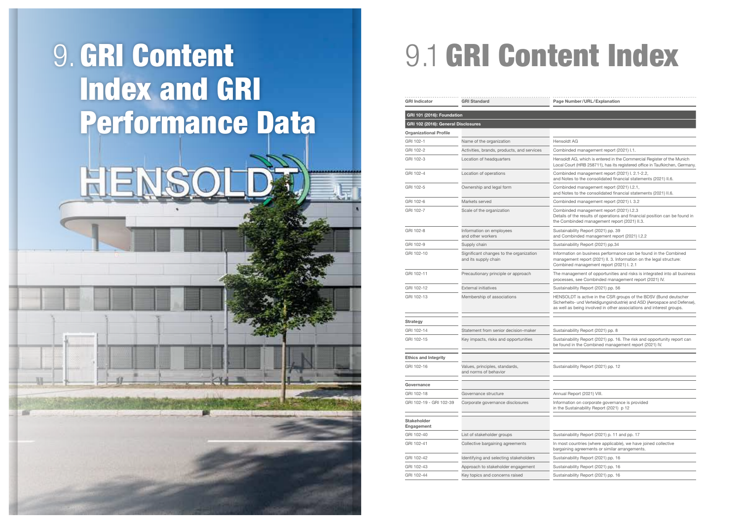combinded management report (2021) I. 2.1-2.2, and Notes to the consolidated financial statements (2021) II.6.

Sombinded management report (2021) L2.1, and Notes to the consolidated financial statements (2021) II.6.

ombinded management report (2021) I. 3.2

Sombinded management report (2021) I.2.3 letails of the results of operations and financial position can be found in the Combinded management report (2021) II.3.

ustainability Report (2021) pp. 39 and Combinded management report (2021) I.2.2

ustainability Report (2021) pp.34

Iformation on business performance can be found in the Combined management report (2021) II. 3. Information on the legal structure: Combined management report (2021) I. 2.1

he management of opportunities and risks is integrated into all business processes, see Combinded management report (2021) IV.

ustainability Report (2021) pp. 56

IENSOLDT is active in the CSR groups of the BDSV (Bund deutscher Sicherheits- und Verteidigungsindustrie) and ASD (Aerospace and Defense), s well as being involved in other associations and interest groups.

ustainability Report (2021) pp. 8

ustainability Report (2021) pp. 16. The risk and opportunity report can be found in the Combined management report (2021) IV.

ustainability Report (2021) pp. 12

nnual Report (2021) VIII.

formation on corporate governance is provided the Sustainability Report (2021) p 12

ustainability Report (2021) p. 11 and pp. 17

I most countries (where applicable), we have joined collective argaining agreements or similar arrangements.

ustainability Report (2021) pp. 16

ustainability Report (2021) pp. 16

ustainability Report (2021) pp. 16

| <b>GRI Indicator</b>                | <b>GRI Standard</b>                                             | P             |
|-------------------------------------|-----------------------------------------------------------------|---------------|
| <b>GRI 101 (2016): Foundation</b>   |                                                                 |               |
| GRI 102 (2016): General Disclosures |                                                                 |               |
| <b>Organizational Profile</b>       |                                                                 |               |
| GRI 102-1                           | Name of the organization                                        | Н             |
| GRI 102-2                           | Activities, brands, products, and services                      | С             |
| GRI 102-3                           | Location of headquarters                                        | Н             |
| GRI 102-4                           | Location of operations                                          | L٥<br>C       |
|                                     |                                                                 | ar            |
| GRI 102-5                           | Ownership and legal form                                        | С<br>a        |
| GRI 102-6                           | Markets served                                                  | С             |
| GRI 102-7                           | Scale of the organization                                       | C<br>D        |
|                                     |                                                                 | th            |
| GRI 102-8                           | Information on employees<br>and other workers                   | S<br>ar       |
| GRI 102-9                           | Supply chain                                                    | S             |
| GRI 102-10                          | Significant changes to the organization<br>and its supply chain | In<br>m<br>С  |
| GRI 102-11                          | Precautionary principle or approach                             | TI<br>pı      |
| GRI 102-12                          | <b>External initiatives</b>                                     | S             |
| GRI 102-13                          | Membership of associations                                      | Н<br>Si<br>as |
| <b>Strategy</b>                     |                                                                 |               |
| GRI 102-14                          | Statement from senior decision-maker                            | S             |
| GRI 102-15                          | Key impacts, risks and opportunities                            | S<br>b        |
| <b>Ethics and Integrity</b>         |                                                                 |               |
| GRI 102-16                          | Values, principles, standards,<br>and norms of behavior         | S             |
| Governance                          |                                                                 |               |
| GRI 102-18                          | Governance structure                                            | Α             |
| GRI 102-19 - GRI 102-39             | Corporate governance disclosures                                | In<br>in      |
| <b>Stakeholder</b><br>Engagement    |                                                                 |               |
| GRI 102-40                          | List of stakeholder groups                                      | S             |
| GRI 102-41                          | Collective bargaining agreements                                | In<br>b       |
| GRI 102-42                          | Identifying and selecting stakeholders                          | S             |
| GRI 102-43                          | Approach to stakeholder engagement                              | S             |
| GRI 102-44                          | Key topics and concerns raised                                  | S             |

age Number/URL/Explanation

## ensoldt AG

ombinded management report (2021) I.1.

lensoldt AG, which is entered in the Commercial Register of the Munich ocal Court (HRB 258711), has its registered office in Taufkirchen, Germany.

## 9. GRI Content Index and GRI Performance Data

## 9.1 GRI Content Index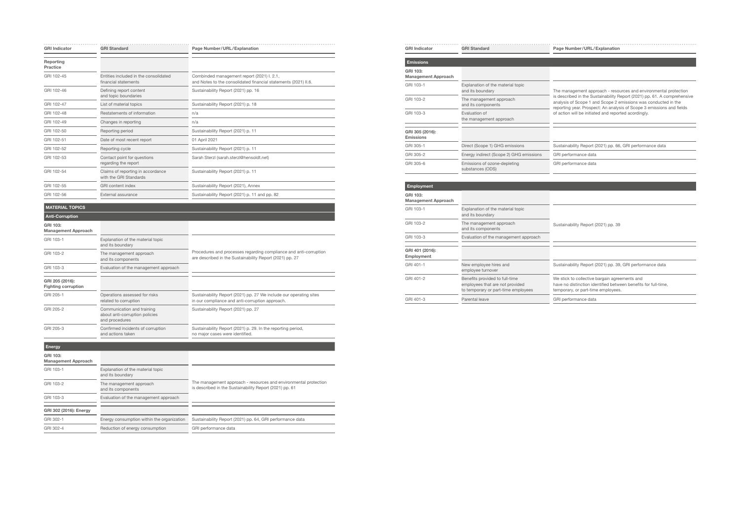| <b>GRI Indicator</b>  | <b>GRI Standard</b>                                           | Page Number/URL/Explanation                                                                                   |
|-----------------------|---------------------------------------------------------------|---------------------------------------------------------------------------------------------------------------|
| Reporting<br>Practice |                                                               |                                                                                                               |
| GRI 102-45            | Entities included in the consolidated<br>financial statements | Combinded management report (2021) I. 2.1,<br>and Notes to the consolidated financial statements (2021) II.6. |
| GRI 102-46            | Defining report content<br>and topic boundaries               | Sustainability Report (2021) pp. 16                                                                           |
| GRI 102-47            | List of material topics                                       | Sustainability Report (2021) p. 18                                                                            |
| GRI 102-48            | Restatements of information                                   | n/a                                                                                                           |
| GRI 102-49            | Changes in reporting                                          | n/a                                                                                                           |
| GRI 102-50            | Reporting period                                              | Sustainability Report (2021) p. 11                                                                            |
| GRI 102-51            | Date of most recent report                                    | 01 April 2021                                                                                                 |
| GRI 102-52            | Reporting cycle                                               | Sustainability Report (2021) p. 11                                                                            |
| GRI 102-53            | Contact point for questions<br>regarding the report           | Sarah Sterzl (sarah.sterzl@hensoldt.net)                                                                      |
| GRI 102-54            | Claims of reporting in accordance<br>with the GRI Standards   | Sustainability Report (2021) p. 11                                                                            |
| GRI 102-55            | <b>GRI</b> content index                                      | Sustainability Report (2021), Annex                                                                           |
| GRI 102-56            | External assurance                                            | Sustainability Report (2021) p. 11 and pp. 82                                                                 |

## MATERIAL TOPICS

| <b>Anti-Corruption</b>                        |                                                                                |                                                                                                                               |
|-----------------------------------------------|--------------------------------------------------------------------------------|-------------------------------------------------------------------------------------------------------------------------------|
| GRI 103:<br><b>Management Approach</b>        |                                                                                |                                                                                                                               |
| GRI 103-1                                     | Explanation of the material topic<br>and its boundary                          |                                                                                                                               |
| GRI 103-2                                     | The management approach<br>and its components                                  | Procedures and processes regarding compliance and anti-corruption<br>are described in the Sustainability Report (2021) pp. 27 |
| GRI 103-3                                     | Evaluation of the management approach                                          |                                                                                                                               |
| GRI 205 (2016):<br><b>Fighting corruption</b> |                                                                                |                                                                                                                               |
| GRI 205-1                                     | Operations assessed for risks<br>related to corruption                         | Sustainability Report (2021) pp. 27 We include our operating sites<br>in our compliance and anti-corruption approach.         |
| GRI 205-2                                     | Communication and training<br>about anti-corruption policies<br>and procedures | Sustainability Report (2021) pp. 27                                                                                           |
| GRI 205-3                                     | Confirmed incidents of corruption<br>and actions taken                         | Sustainability Report (2021) p. 29. In the reporting period,<br>no major cases were identified.                               |

| <b>Energy</b>                          |                                                       |                                                                                                                             |
|----------------------------------------|-------------------------------------------------------|-----------------------------------------------------------------------------------------------------------------------------|
| GRI 103:<br><b>Management Approach</b> |                                                       |                                                                                                                             |
| GRI 103-1                              | Explanation of the material topic<br>and its boundary |                                                                                                                             |
| GRI 103-2                              | The management approach<br>and its components         | The management approach - resources and environmental protection<br>is described in the Sustainability Report (2021) pp. 61 |
| GRI 103-3                              | Evaluation of the management approach                 |                                                                                                                             |
| GRI 302 (2016): Energy                 |                                                       |                                                                                                                             |
| GRI 302-1                              | Energy consumption within the organization            | Sustainability Report (2021) pp. 64, GRI performance data                                                                   |
| GRI 302-4                              | Reduction of energy consumption                       | GRI performance data                                                                                                        |

| <b>GRI Indicator</b>                   | <b>GRI Standard</b>                                   | Page Number/URL/Explanation                                                                                          |  |
|----------------------------------------|-------------------------------------------------------|----------------------------------------------------------------------------------------------------------------------|--|
| <b>Emissions</b>                       |                                                       |                                                                                                                      |  |
| GRI 103:<br><b>Management Approach</b> |                                                       |                                                                                                                      |  |
| GRI 103-1                              | Explanation of the material topic<br>and its boundary | The management approach - resour                                                                                     |  |
| GRI 103-2                              | The management approach<br>and its components         | is described in the Sustainability Re<br>analysis of Scope 1 and Scope 2 en<br>reporting year. Prospect: An analysis |  |
| GRI 103-3                              | Evaluation of<br>the management approach              | of action will be initiated and reporte                                                                              |  |
| GRI 305 (2016):<br><b>Emissions</b>    |                                                       |                                                                                                                      |  |
| GRI 305-1                              | Direct (Scope 1) GHG emissions                        | Sustainability Report (2021) pp. 66,                                                                                 |  |
| GRI 305-2                              | Energy indirect (Scope 2) GHG emissions               | GRI performance data                                                                                                 |  |
| GRI 305-6                              | Emissions of ozone-depleting<br>substances (ODS)      | GRI performance data                                                                                                 |  |

| <b>Employment</b>                      |                                                                                                          |                                                                                                                      |
|----------------------------------------|----------------------------------------------------------------------------------------------------------|----------------------------------------------------------------------------------------------------------------------|
| GRI 103:<br><b>Management Approach</b> |                                                                                                          |                                                                                                                      |
| GRI 103-1                              | Explanation of the material topic<br>and its boundary                                                    |                                                                                                                      |
| GRI 103-2                              | The management approach<br>and its components                                                            | Sustainability Report (2021) pp. 39                                                                                  |
| GRI 103-3                              | Evaluation of the management approach                                                                    |                                                                                                                      |
| GRI 401 (2016):<br>Employment          |                                                                                                          |                                                                                                                      |
| GRI 401-1                              | New employee hires and<br>employee turnover                                                              | Sustainability Report (2021) pp. 39,                                                                                 |
| GRI 401-2                              | Benefits provided to full-time<br>employees that are not provided<br>to temporary or part-time employees | We stick to collective bargain agree<br>have no distinction identified between<br>temporary, or part-time employees. |
| GRI 401-3                              | Parental leave                                                                                           | GRI performance data                                                                                                 |

he management approach - resources and environmental protection is described in the Sustainability Report (2021) pp. 61. A comprehensive analysis of Scope 1 and Scope 2 emissions was conducted in the eporting year. Prospect: An analysis of Scope 3 emissions and fields f action will be initiated and reported acordingly.

ustainability Report (2021) pp. 66, GRI performance data

istainability Report (2021) pp. 39, GRI performance data

stick to collective bargain agreements and ve no distinction identified between benefits for full-time, mporary, or part-time employees.